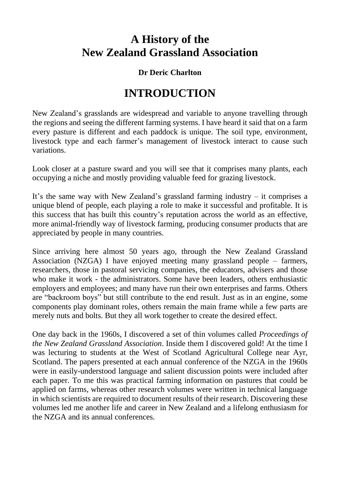## **A History of the New Zealand Grassland Association**

## **Dr Deric Charlton**

## **INTRODUCTION**

New Zealand's grasslands are widespread and variable to anyone travelling through the regions and seeing the different farming systems. I have heard it said that on a farm every pasture is different and each paddock is unique. The soil type, environment, livestock type and each farmer's management of livestock interact to cause such variations.

Look closer at a pasture sward and you will see that it comprises many plants, each occupying a niche and mostly providing valuable feed for grazing livestock.

It's the same way with New Zealand's grassland farming industry – it comprises a unique blend of people, each playing a role to make it successful and profitable. It is this success that has built this country's reputation across the world as an effective, more animal-friendly way of livestock farming, producing consumer products that are appreciated by people in many countries.

Since arriving here almost 50 years ago, through the New Zealand Grassland Association (NZGA) I have enjoyed meeting many grassland people – farmers, researchers, those in pastoral servicing companies, the educators, advisers and those who make it work - the administrators. Some have been leaders, others enthusiastic employers and employees; and many have run their own enterprises and farms. Others are "backroom boys" but still contribute to the end result. Just as in an engine, some components play dominant roles, others remain the main frame while a few parts are merely nuts and bolts. But they all work together to create the desired effect.

One day back in the 1960s, I discovered a set of thin volumes called *Proceedings of the New Zealand Grassland Association*. Inside them I discovered gold! At the time I was lecturing to students at the West of Scotland Agricultural College near Ayr, Scotland. The papers presented at each annual conference of the NZGA in the 1960s were in easily-understood language and salient discussion points were included after each paper. To me this was practical farming information on pastures that could be applied on farms, whereas other research volumes were written in technical language in which scientists are required to document results of their research. Discovering these volumes led me another life and career in New Zealand and a lifelong enthusiasm for the NZGA and its annual conferences.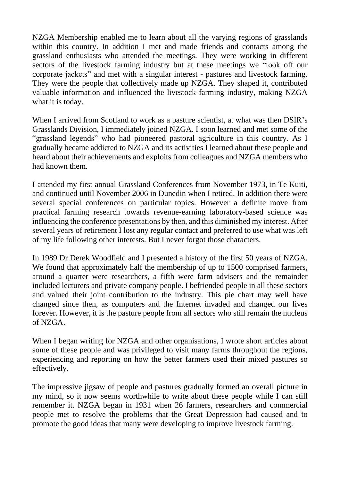NZGA Membership enabled me to learn about all the varying regions of grasslands within this country. In addition I met and made friends and contacts among the grassland enthusiasts who attended the meetings. They were working in different sectors of the livestock farming industry but at these meetings we "took off our corporate jackets" and met with a singular interest - pastures and livestock farming. They were the people that collectively made up NZGA. They shaped it, contributed valuable information and influenced the livestock farming industry, making NZGA what it is today.

When I arrived from Scotland to work as a pasture scientist, at what was then DSIR's Grasslands Division, I immediately joined NZGA. I soon learned and met some of the "grassland legends" who had pioneered pastoral agriculture in this country. As I gradually became addicted to NZGA and its activities I learned about these people and heard about their achievements and exploits from colleagues and NZGA members who had known them.

I attended my first annual Grassland Conferences from November 1973, in Te Kuiti, and continued until November 2006 in Dunedin when I retired. In addition there were several special conferences on particular topics. However a definite move from practical farming research towards revenue-earning laboratory-based science was influencing the conference presentations by then, and this diminished my interest. After several years of retirement I lost any regular contact and preferred to use what was left of my life following other interests. But I never forgot those characters.

In 1989 Dr Derek Woodfield and I presented a history of the first 50 years of NZGA. We found that approximately half the membership of up to 1500 comprised farmers, around a quarter were researchers, a fifth were farm advisers and the remainder included lecturers and private company people. I befriended people in all these sectors and valued their joint contribution to the industry. This pie chart may well have changed since then, as computers and the Internet invaded and changed our lives forever. However, it is the pasture people from all sectors who still remain the nucleus of NZGA.

When I began writing for NZGA and other organisations, I wrote short articles about some of these people and was privileged to visit many farms throughout the regions, experiencing and reporting on how the better farmers used their mixed pastures so effectively.

The impressive jigsaw of people and pastures gradually formed an overall picture in my mind, so it now seems worthwhile to write about these people while I can still remember it. NZGA began in 1931 when 26 farmers, researchers and commercial people met to resolve the problems that the Great Depression had caused and to promote the good ideas that many were developing to improve livestock farming.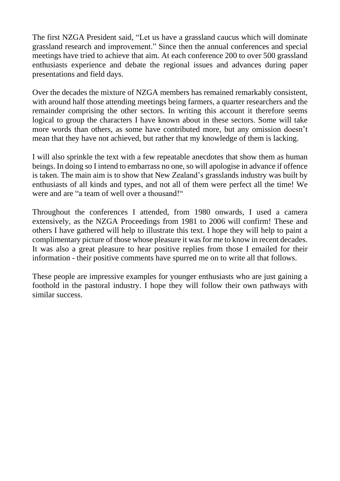The first NZGA President said, "Let us have a grassland caucus which will dominate grassland research and improvement." Since then the annual conferences and special meetings have tried to achieve that aim. At each conference 200 to over 500 grassland enthusiasts experience and debate the regional issues and advances during paper presentations and field days.

Over the decades the mixture of NZGA members has remained remarkably consistent, with around half those attending meetings being farmers, a quarter researchers and the remainder comprising the other sectors. In writing this account it therefore seems logical to group the characters I have known about in these sectors. Some will take more words than others, as some have contributed more, but any omission doesn't mean that they have not achieved, but rather that my knowledge of them is lacking.

I will also sprinkle the text with a few repeatable anecdotes that show them as human beings. In doing so I intend to embarrass no one, so will apologise in advance if offence is taken. The main aim is to show that New Zealand's grasslands industry was built by enthusiasts of all kinds and types, and not all of them were perfect all the time! We were and are "a team of well over a thousand!"

Throughout the conferences I attended, from 1980 onwards, I used a camera extensively, as the NZGA Proceedings from 1981 to 2006 will confirm! These and others I have gathered will help to illustrate this text. I hope they will help to paint a complimentary picture of those whose pleasure it was for me to know in recent decades. It was also a great pleasure to hear positive replies from those I emailed for their information - their positive comments have spurred me on to write all that follows.

These people are impressive examples for younger enthusiasts who are just gaining a foothold in the pastoral industry. I hope they will follow their own pathways with similar success.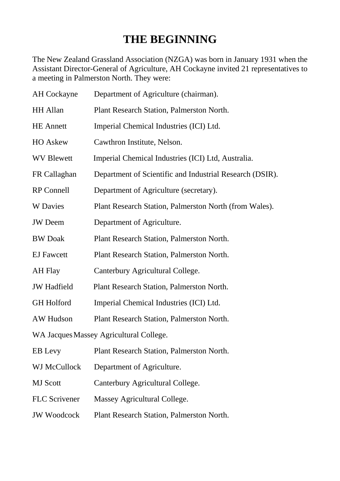## **THE BEGINNING**

The New Zealand Grassland Association (NZGA) was born in January 1931 when the Assistant Director-General of Agriculture, AH Cockayne invited 21 representatives to a meeting in Palmerston North. They were:

| <b>AH</b> Cockayne                      | Department of Agriculture (chairman).                    |
|-----------------------------------------|----------------------------------------------------------|
| <b>HH</b> Allan                         | Plant Research Station, Palmerston North.                |
| <b>HE</b> Annett                        | Imperial Chemical Industries (ICI) Ltd.                  |
| <b>HO</b> Askew                         | Cawthron Institute, Nelson.                              |
| <b>WV Blewett</b>                       | Imperial Chemical Industries (ICI) Ltd, Australia.       |
| FR Callaghan                            | Department of Scientific and Industrial Research (DSIR). |
| <b>RP</b> Connell                       | Department of Agriculture (secretary).                   |
| <b>W</b> Davies                         | Plant Research Station, Palmerston North (from Wales).   |
| <b>JW</b> Deem                          | Department of Agriculture.                               |
| <b>BW</b> Doak                          | Plant Research Station, Palmerston North.                |
| <b>EJ</b> Fawcett                       | Plant Research Station, Palmerston North.                |
| AH Flay                                 | Canterbury Agricultural College.                         |
| <b>JW</b> Hadfield                      | Plant Research Station, Palmerston North.                |
| <b>GH</b> Holford                       | Imperial Chemical Industries (ICI) Ltd.                  |
| AW Hudson                               | Plant Research Station, Palmerston North.                |
| WA Jacques Massey Agricultural College. |                                                          |
| EB Levy                                 | Plant Research Station, Palmerston North.                |
| WJ McCullock                            | Department of Agriculture.                               |
| <b>MJ</b> Scott                         | Canterbury Agricultural College.                         |
| <b>FLC</b> Scrivener                    | Massey Agricultural College.                             |
| <b>JW Woodcock</b>                      | Plant Research Station, Palmerston North.                |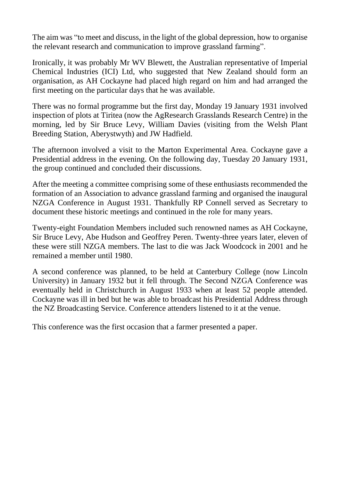The aim was "to meet and discuss, in the light of the global depression, how to organise the relevant research and communication to improve grassland farming".

Ironically, it was probably Mr WV Blewett, the Australian representative of Imperial Chemical Industries (ICI) Ltd, who suggested that New Zealand should form an organisation, as AH Cockayne had placed high regard on him and had arranged the first meeting on the particular days that he was available.

There was no formal programme but the first day, Monday 19 January 1931 involved inspection of plots at Tiritea (now the AgResearch Grasslands Research Centre) in the morning, led by Sir Bruce Levy, William Davies (visiting from the Welsh Plant Breeding Station, Aberystwyth) and JW Hadfield.

The afternoon involved a visit to the Marton Experimental Area. Cockayne gave a Presidential address in the evening. On the following day, Tuesday 20 January 1931, the group continued and concluded their discussions.

After the meeting a committee comprising some of these enthusiasts recommended the formation of an Association to advance grassland farming and organised the inaugural NZGA Conference in August 1931. Thankfully RP Connell served as Secretary to document these historic meetings and continued in the role for many years.

Twenty-eight Foundation Members included such renowned names as AH Cockayne, Sir Bruce Levy, Abe Hudson and Geoffrey Peren. Twenty-three years later, eleven of these were still NZGA members. The last to die was Jack Woodcock in 2001 and he remained a member until 1980.

A second conference was planned, to be held at Canterbury College (now Lincoln University) in January 1932 but it fell through. The Second NZGA Conference was eventually held in Christchurch in August 1933 when at least 52 people attended. Cockayne was ill in bed but he was able to broadcast his Presidential Address through the NZ Broadcasting Service. Conference attenders listened to it at the venue.

This conference was the first occasion that a farmer presented a paper.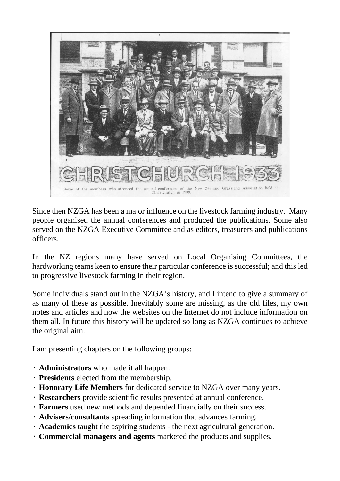

Since then NZGA has been a major influence on the livestock farming industry. Many people organised the annual conferences and produced the publications. Some also served on the NZGA Executive Committee and as editors, treasurers and publications officers.

In the NZ regions many have served on Local Organising Committees, the hardworking teams keen to ensure their particular conference is successful; and this led to progressive livestock farming in their region.

Some individuals stand out in the NZGA's history, and I intend to give a summary of as many of these as possible. Inevitably some are missing, as the old files, my own notes and articles and now the websites on the Internet do not include information on them all. In future this history will be updated so long as NZGA continues to achieve the original aim.

I am presenting chapters on the following groups:

- **Administrators** who made it all happen.
- **Presidents** elected from the membership.
- **Honorary Life Members** for dedicated service to NZGA over many years.
- **Researchers** provide scientific results presented at annual conference.
- **Farmers** used new methods and depended financially on their success.
- **Advisers/consultants** spreading information that advances farming.
- **Academics** taught the aspiring students the next agricultural generation.
- **Commercial managers and agents** marketed the products and supplies.